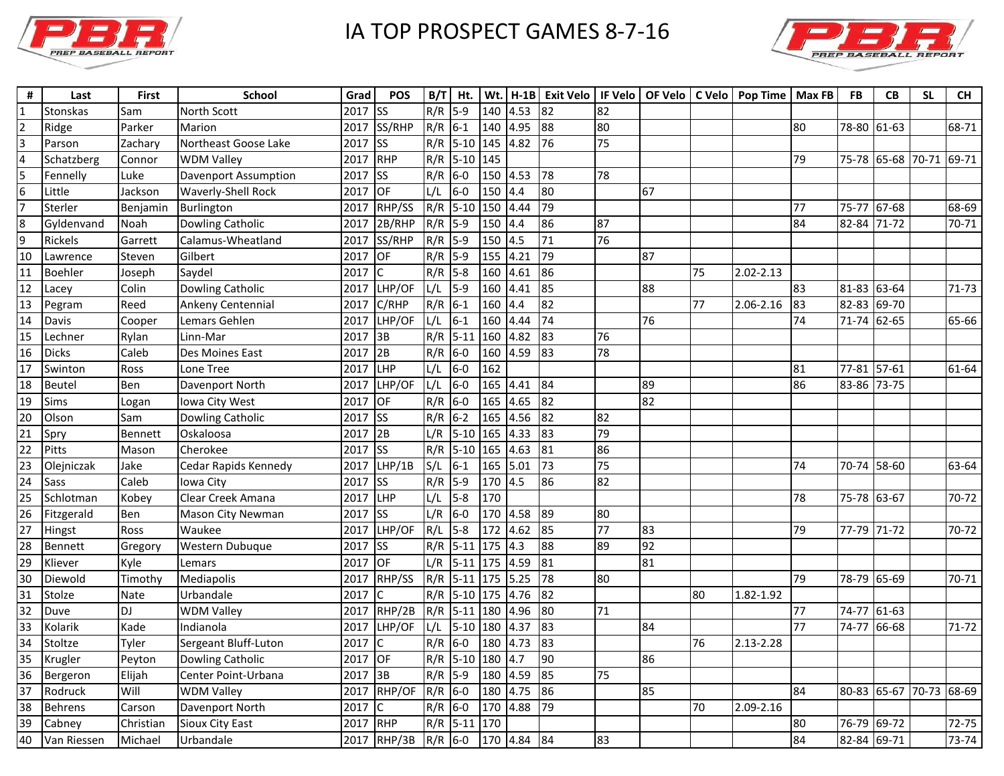

## IA TOP PROSPECT GAMES 8-7-16



| #              | Last           | First       | <b>School</b>           | Grad | <b>POS</b>             | B/T | Ht.           |         |             |                 |                 |    |    | Wt.   H-1B   Exit Velo   IF Velo   OF Velo   C Velo   Pop Time   Max FB |                 | FB          | CB                      | <b>SL</b>   | <b>CH</b> |
|----------------|----------------|-------------|-------------------------|------|------------------------|-----|---------------|---------|-------------|-----------------|-----------------|----|----|-------------------------------------------------------------------------|-----------------|-------------|-------------------------|-------------|-----------|
|                | Stonskas       | Sam         | North Scott             | 2017 | <b>Iss</b>             | R/R | $5 - 9$       | 140     | 4.53        | 82              | 82              |    |    |                                                                         |                 |             |                         |             |           |
| $\overline{2}$ | Ridge          | Parker      | Marion                  | 2017 | SS/RHP                 | R/R | $6 - 1$       |         | 140 4.95    | 88              | 80              |    |    |                                                                         | 80              | 78-80 61-63 |                         |             | 68-71     |
| 3              | Parson         | Zachary     | Northeast Goose Lake    | 2017 | <b>SS</b>              | R/R | 5-10 145      |         | 4.82        | 76              | 75              |    |    |                                                                         |                 |             |                         |             |           |
| 4              | Schatzberg     | Connor      | <b>WDM Valley</b>       | 2017 | RHP                    | R/R | 5-10 145      |         |             |                 |                 |    |    |                                                                         | 79              |             | 75-78 65-68 70-71 69-71 |             |           |
| l5             | Fennelly       | Luke        | Davenport Assumption    | 2017 | $\overline{\text{ss}}$ | R/R | $6-0$         |         | $150$ 4.53  | 78              | 78              |    |    |                                                                         |                 |             |                         |             |           |
| 6              | Little         | Jackson     | Waverly-Shell Rock      | 2017 | OF                     | L/L | $6-0$         | 150     | 4.4         | 80              |                 | 67 |    |                                                                         |                 |             |                         |             |           |
| 17             | Sterler        | Benjamin    | Burlington              | 2017 | RHP/SS                 | R/R | $5 - 10$      |         | 150 4.44    | 79              |                 |    |    |                                                                         | 77              | 75-77 67-68 |                         |             | 68-69     |
| 8              | Gyldenvand     | Noah        | <b>Dowling Catholic</b> | 2017 | 2B/RHP                 | R/R | $5-9$         | 150 4.4 |             | 86              | 87              |    |    |                                                                         | $\overline{84}$ | 82-84 71-72 |                         |             | 70-71     |
| 9              | Rickels        | Garrett     | Calamus-Wheatland       | 2017 | SS/RHP                 | R/R | $5-9$         | 150     | 4.5         | $\overline{71}$ | 76              |    |    |                                                                         |                 |             |                         |             |           |
| 10             | Lawrence       | Steven      | Gilbert                 | 2017 | OF                     | R/R | $5-9$         |         | 155 4.21    | 79              |                 | 87 |    |                                                                         |                 |             |                         |             |           |
| 11             | Boehler        | Joseph      | Saydel                  | 2017 | $\mathsf{C}$           | R/R | $5-8$         | 160     | 4.61        | 86              |                 |    | 75 | 2.02-2.13                                                               |                 |             |                         |             |           |
| 12             | Lacey          | Colin       | <b>Dowling Catholic</b> | 2017 | LHP/OF                 | L/L | $5 - 9$       | 160     | 4.41        | 85              |                 | 88 |    |                                                                         | 83              | 81-83 63-64 |                         |             | 71-73     |
| 13             | Pegram         | Reed        | Ankeny Centennial       | 2017 | C/RHP                  | R/R | $6-1$         | 160     | 4.4         | 82              |                 |    | 77 | 2.06-2.16                                                               | 83              | 82-83 69-70 |                         |             |           |
| 14             | Davis          | Cooper      | Lemars Gehlen           | 2017 | LHP/OF                 | L/L | $6 - 1$       | 160     | 4.44        | 74              |                 | 76 |    |                                                                         | 74              | 71-74 62-65 |                         |             | 65-66     |
| 15             | Lechner        | Rylan       | Linn-Mar                | 2017 | 3B                     | R/R | $5 - 11$      | 160     | 4.82        | 83              | 76              |    |    |                                                                         |                 |             |                         |             |           |
| 16             | <b>Dicks</b>   | Caleb       | Des Moines East         | 2017 | 2B                     | R/R | $6-0$         |         | 160 4.59    | 83              | 78              |    |    |                                                                         |                 |             |                         |             |           |
| 17             | Swinton        | Ross        | Lone Tree               | 2017 | LHP                    | L/L | $6-0$         | 162     |             |                 |                 |    |    |                                                                         | 81              | 77-81 57-61 |                         |             | 61-64     |
| 18             | Beutel         | Ben         | Davenport North         | 2017 | LHP/OF                 | L/L | $6-0$         |         | 165 4.41    | 84              |                 | 89 |    |                                                                         | 86              | 83-86 73-75 |                         |             |           |
| 19             | Sims           | Logan       | Iowa City West          | 2017 | OF                     | R/R | $6-0$         | 165     | 4.65        | 82              |                 | 82 |    |                                                                         |                 |             |                         |             |           |
| 20             | Olson          | Sam         | Dowling Catholic        | 2017 | <b>SS</b>              | R/R | $6 - 2$       | 165     | 4.56        | 82              | 82              |    |    |                                                                         |                 |             |                         |             |           |
| 21             | Spry           | Bennett     | Oskaloosa               | 2017 | 2B                     | L/R | $5-10$ 165    |         | 4.33        | 83              | 79              |    |    |                                                                         |                 |             |                         |             |           |
| 22             | Pitts          | Mason       | Cherokee                | 2017 | <b>Iss</b>             | R/R | $5 - 10$      | 165     | 4.63        | 81              | 86              |    |    |                                                                         |                 |             |                         |             |           |
| 23             | Olejniczak     | Jake        | Cedar Rapids Kennedy    | 2017 | LHP/1B                 | S/L | $6 - 1$       | 165     | 5.01        | 73              | 75              |    |    |                                                                         | 74              |             | 70-74 58-60             |             | 63-64     |
| 24             | Sass           | Caleb       | Iowa City               | 2017 | <b>SS</b>              | R/R | $5-9$         | 170 4.5 |             | 86              | 82              |    |    |                                                                         |                 |             |                         |             |           |
| 25             | Schlotman      | Kobey       | Clear Creek Amana       | 2017 | LHP                    | L/L | $5 - 8$       | 170     |             |                 |                 |    |    |                                                                         | 78              | 75-78 63-67 |                         |             | 70-72     |
| 26             | Fitzgerald     | Ben         | Mason City Newman       | 2017 | <b>SS</b>              | L/R | $6-0$         | 170     | 4.58        | 89              | 80              |    |    |                                                                         |                 |             |                         |             |           |
| 27             | Hingst         | Ross        | Waukee                  | 2017 | LHP/OF                 | R/L | $5-8$         |         | 172 4.62    | 85              | $\overline{77}$ | 83 |    |                                                                         | 79              | 77-79 71-72 |                         |             | 70-72     |
| 28             | Bennett        | Gregory     | Western Dubuque         | 2017 | $\overline{\text{ss}}$ | R/R | $5 - 11$      | 175 4.3 |             | 88              | 89              | 92 |    |                                                                         |                 |             |                         |             |           |
| 29             | Kliever        | Kyle        | Lemars                  | 2017 | <b>OF</b>              | L/R | $5 - 11$      |         | 175 4.59    | 81              |                 | 81 |    |                                                                         |                 |             |                         |             |           |
| 30             | Diewold        | Timothy     | Mediapolis              | 2017 | RHP/SS                 | R/R | 5-11 175 5.25 |         |             | 78              | 80              |    |    |                                                                         | 79              | 78-79 65-69 |                         |             | 70-71     |
| 31             | Stolze         | <b>Nate</b> | Urbandale               | 2017 | lC.                    | R/R | $5-10$ 175    |         | 4.76        | 82              |                 |    | 80 | 1.82-1.92                                                               |                 |             |                         |             |           |
| 32             | Duve           | DJ          | <b>WDM Valley</b>       | 2017 | RHP/2B                 | R/R | $5-11$ 180    |         | 4.96        | 80              | 71              |    |    |                                                                         | 77              | 74-77 61-63 |                         |             |           |
| 33             | Kolarik        | Kade        | Indianola               | 2017 | LHP/OF                 | L/L | 5-10 180 4.37 |         |             | 83              |                 | 84 |    |                                                                         | 77              | 74-77 66-68 |                         |             | 71-72     |
| 34             | Stoltze        | Tyler       | Sergeant Bluff-Luton    | 2017 | C                      | R/R | $6-0$         | 180     | 4.73        | 83              |                 |    | 76 | 2.13-2.28                                                               |                 |             |                         |             |           |
| 35             | Krugler        | Peyton      | <b>Dowling Catholic</b> | 2017 | OF                     | R/R | $5 - 10$      | 180     | 4.7         | 90              |                 | 86 |    |                                                                         |                 |             |                         |             |           |
| 36             | Bergeron       | Elijah      | Center Point-Urbana     | 2017 | 3B                     | R/R | $5-9$         |         | 180 4.59    | 85              | 75              |    |    |                                                                         |                 |             |                         |             |           |
| 37             | Rodruck        | Will        | <b>WDM Valley</b>       | 2017 | RHP/OF                 | R/R | $6-0$         | 180     | 4.75        | 86              |                 | 85 |    |                                                                         | 84              | 80-83 65-67 |                         | 70-73 68-69 |           |
| 38             | <b>Behrens</b> | Carson      | Davenport North         | 2017 | <b>C</b>               | R/R | $6-0$         |         | 170 4.88    | 79              |                 |    | 70 | 2.09-2.16                                                               |                 |             |                         |             |           |
| 39             | Cabney         | Christian   | Sioux City East         | 2017 | RHP                    | R/R | $5 - 11$      | 170     |             |                 |                 |    |    |                                                                         | 80              | 76-79 69-72 |                         |             | 72-75     |
| 40             | Van Riessen    | Michael     | Urbandale               | 2017 | RHP/3B                 | R/R | $6-0$         |         | 170 4.84 84 |                 | 83              |    |    |                                                                         | 84              | 82-84 69-71 |                         |             | 73-74     |